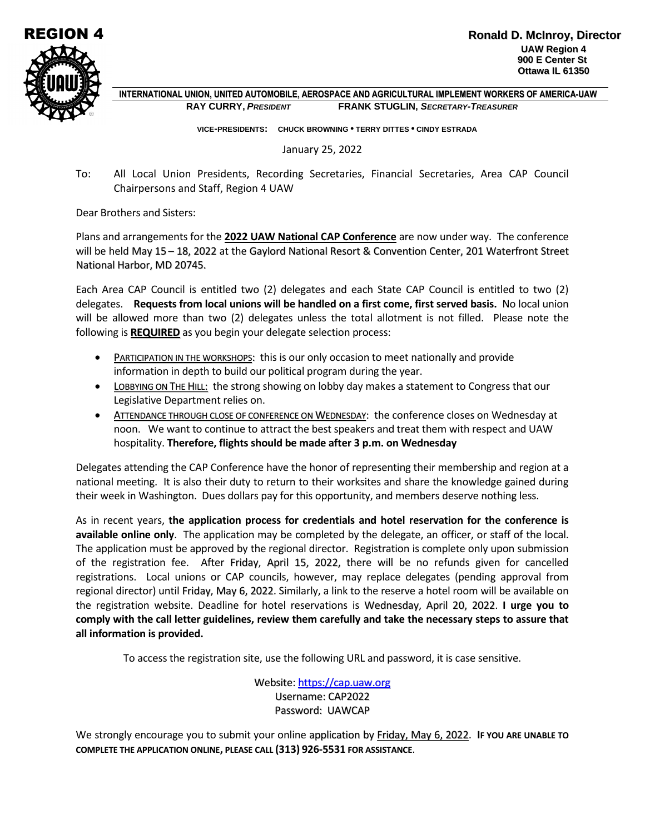

 **INTERNATIONAL UNION, UNITED AUTOMOBILE, AEROSPACE AND AGRICULTURAL IMPLEMENT WORKERS OF AMERICA-UAW RAY CURRY,** *PRESIDENT* **FRANK STUGLIN,** *SECRETARY-TREASURER*

 **VICE-PRESIDENTS: CHUCK BROWNING • TERRY DITTES • CINDY ESTRADA**

January 25, 2022

To: All Local Union Presidents, Recording Secretaries, Financial Secretaries, Area CAP Council Chairpersons and Staff, Region 4 UAW

Dear Brothers and Sisters:

Plans and arrangements for the **2022 UAW National CAP Conference** are now under way. The conference will be held May 15 – 18, 2022 at the Gaylord National Resort & Convention Center, 201 Waterfront Street National Harbor, MD 20745.

Each Area CAP Council is entitled two (2) delegates and each State CAP Council is entitled to two (2) delegates. **Requests from local unions will be handled on a first come, first served basis.** No local union will be allowed more than two (2) delegates unless the total allotment is not filled. Please note the following is **REQUIRED** as you begin your delegate selection process:

- PARTICIPATION IN THE WORKSHOPS: this is our only occasion to meet nationally and provide information in depth to build our political program during the year.
- LOBBYING ON THE HILL: the strong showing on lobby day makes a statement to Congress that our Legislative Department relies on.
- ATTENDANCE THROUGH CLOSE OF CONFERENCE ON WEDNESDAY: the conference closes on Wednesday at noon. We want to continue to attract the best speakers and treat them with respect and UAW hospitality. **Therefore, flights should be made after 3 p.m. on Wednesday**

Delegates attending the CAP Conference have the honor of representing their membership and region at a national meeting. It is also their duty to return to their worksites and share the knowledge gained during their week in Washington. Dues dollars pay for this opportunity, and members deserve nothing less.

As in recent years, **the application process for credentials and hotel reservation for the conference is available online only**. The application may be completed by the delegate, an officer, or staff of the local. The application must be approved by the regional director. Registration is complete only upon submission of the registration fee. After Friday, April 15, 2022, there will be no refunds given for cancelled registrations. Local unions or CAP councils, however, may replace delegates (pending approval from regional director) until Friday, May 6, 2022. Similarly, a link to the reserve a hotel room will be available on the registration website. Deadline for hotel reservations is Wednesday, April 20, 2022. **I urge you to comply with the call letter guidelines, review them carefully and take the necessary steps to assure that all information is provided.**

To access the registration site, use the following URL and password, it is case sensitive.

Website: [https://cap.uaw.org](https://cap.uaw.org/) Username: CAP2022 Password: UAWCAP

We strongly encourage you to submit your online application by Friday, May 6, 2022. **IF YOU ARE UNABLE TO COMPLETE THE APPLICATION ONLINE, PLEASE CALL (313) 926-5531 FOR ASSISTANCE**.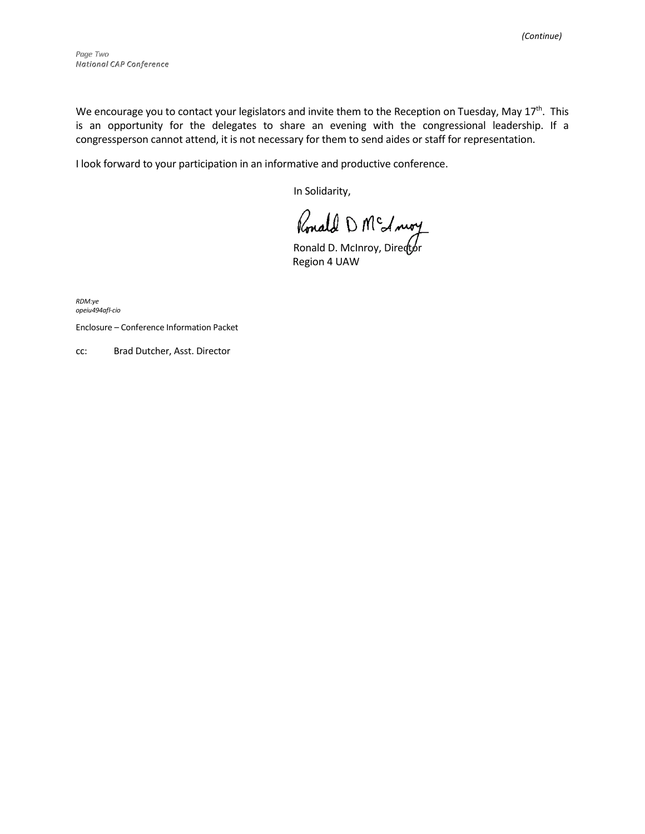We encourage you to contact your legislators and invite them to the Reception on Tuesday, May 17<sup>th</sup>. This is an opportunity for the delegates to share an evening with the congressional leadership. If a congressperson cannot attend, it is not necessary for them to send aides or staff for representation.

I look forward to your participation in an informative and productive conference.

In Solidarity,

Ronald D M<sup>c</sup> A moy

Region 4 UAW

*RDM:ye opeiu494afl-cio*

Enclosure – Conference Information Packet

cc: Brad Dutcher, Asst. Director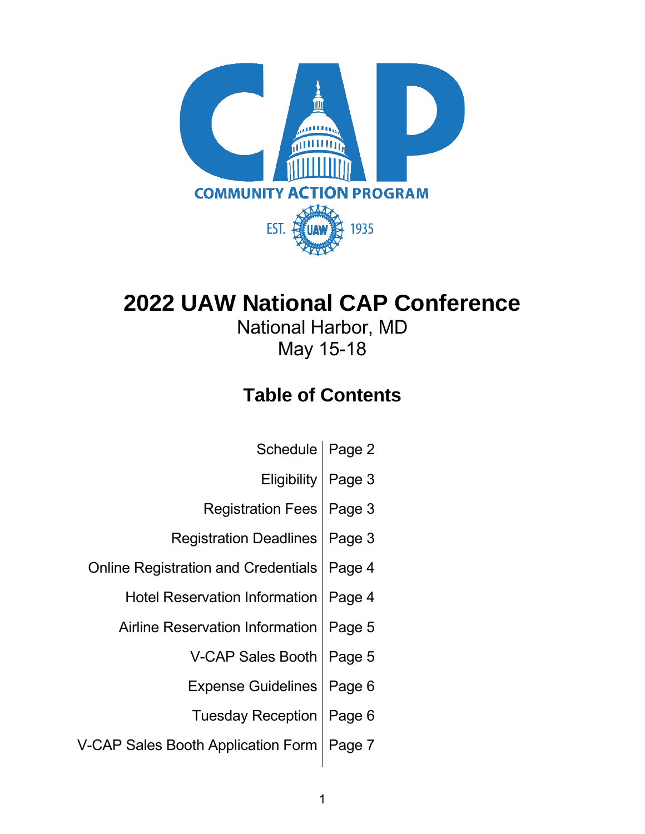

### **2022 UAW National CAP Conference**

National Harbor, MD May 15-18

### **Table of Contents**

| <b>Schedule</b>                            | Page 2 |
|--------------------------------------------|--------|
| <b>Eligibility</b>                         | Page 3 |
| <b>Registration Fees</b>                   | Page 3 |
| <b>Registration Deadlines</b>              | Page 3 |
| <b>Online Registration and Credentials</b> | Page 4 |
| <b>Hotel Reservation Information</b>       | Page 4 |
| <b>Airline Reservation Information</b>     | Page 5 |
| <b>V-CAP Sales Booth</b>                   | Page 5 |
| <b>Expense Guidelines</b>                  | Page 6 |
| <b>Tuesday Reception</b>                   | Page 6 |
| V-CAP Sales Booth Application Form         | Page 7 |
|                                            |        |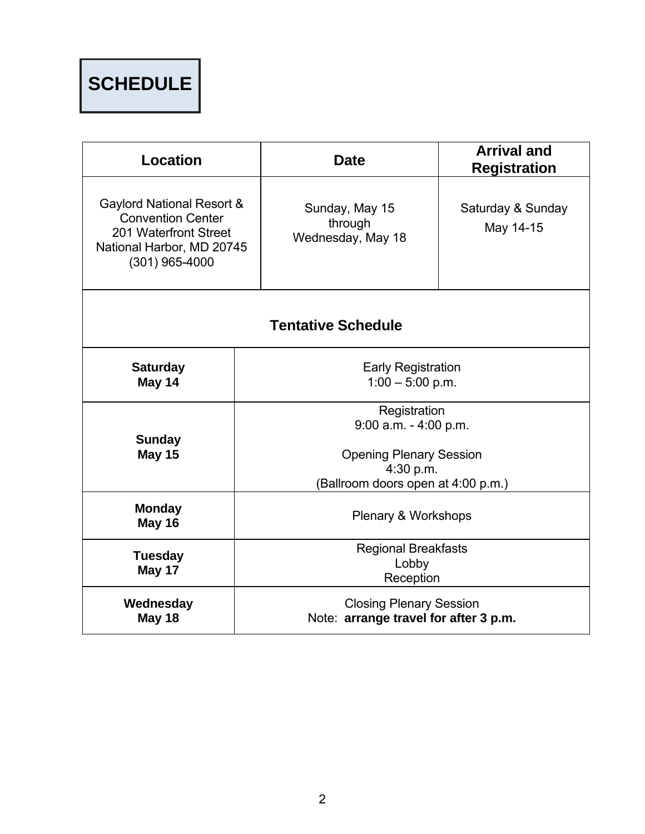# **SCHEDULE**

| <b>Location</b>                                                                                                                 | <b>Date</b>                                                                       | <b>Arrival and</b><br><b>Registration</b> |  |
|---------------------------------------------------------------------------------------------------------------------------------|-----------------------------------------------------------------------------------|-------------------------------------------|--|
| Gaylord National Resort &<br><b>Convention Center</b><br>201 Waterfront Street<br>National Harbor, MD 20745<br>$(301)$ 965-4000 | Sunday, May 15<br>through<br>Wednesday, May 18                                    | Saturday & Sunday<br>May 14-15            |  |
| <b>Tentative Schedule</b>                                                                                                       |                                                                                   |                                           |  |
| <b>Saturday</b><br>May 14                                                                                                       | <b>Early Registration</b><br>$1:00 - 5:00$ p.m.                                   |                                           |  |
|                                                                                                                                 | Registration<br>$9:00$ a.m. - $4:00$ p.m.                                         |                                           |  |
| <b>Sunday</b><br><b>May 15</b>                                                                                                  | <b>Opening Plenary Session</b><br>4:30 p.m.<br>(Ballroom doors open at 4:00 p.m.) |                                           |  |
| <b>Monday</b><br><b>May 16</b>                                                                                                  | Plenary & Workshops                                                               |                                           |  |
| <b>Tuesday</b><br>May 17                                                                                                        | <b>Regional Breakfasts</b><br>Lobby<br>Reception                                  |                                           |  |
| Wednesday<br><b>May 18</b>                                                                                                      | <b>Closing Plenary Session</b><br>Note: arrange travel for after 3 p.m.           |                                           |  |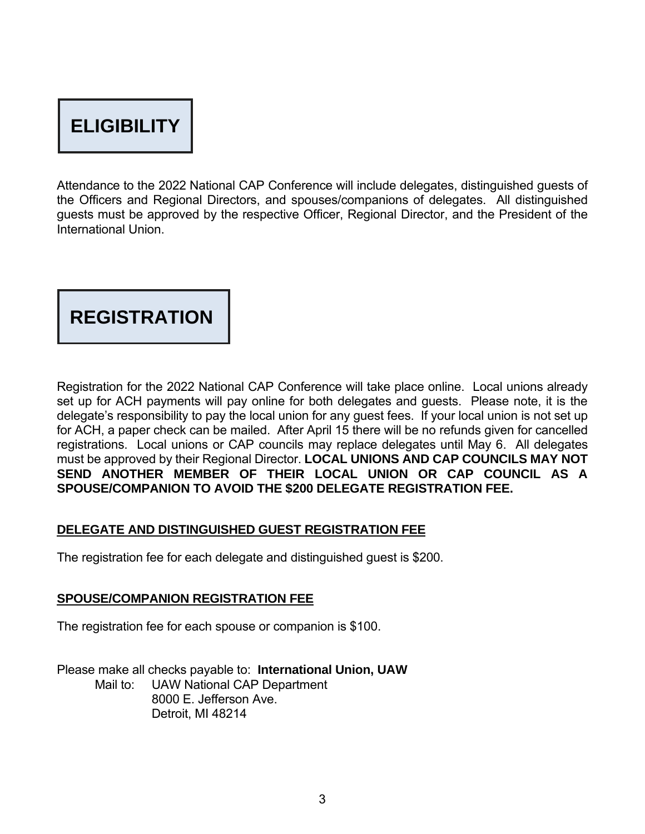## **ELIGIBILITY**

Attendance to the 2022 National CAP Conference will include delegates, distinguished guests of the Officers and Regional Directors, and spouses/companions of delegates. All distinguished guests must be approved by the respective Officer, Regional Director, and the President of the International Union.

#### **REGISTRATION**

Registration for the 2022 National CAP Conference will take place online. Local unions already set up for ACH payments will pay online for both delegates and guests. Please note, it is the delegate's responsibility to pay the local union for any guest fees. If your local union is not set up for ACH, a paper check can be mailed. After April 15 there will be no refunds given for cancelled registrations. Local unions or CAP councils may replace delegates until May 6. All delegates must be approved by their Regional Director. **LOCAL UNIONS AND CAP COUNCILS MAY NOT SEND ANOTHER MEMBER OF THEIR LOCAL UNION OR CAP COUNCIL AS A SPOUSE/COMPANION TO AVOID THE \$200 DELEGATE REGISTRATION FEE.**

#### **DELEGATE AND DISTINGUISHED GUEST REGISTRATION FEE**

The registration fee for each delegate and distinguished guest is \$200.

#### **SPOUSE/COMPANION REGISTRATION FEE**

The registration fee for each spouse or companion is \$100.

Please make all checks payable to: **International Union, UAW** Mail to: UAW National CAP Department 8000 E. Jefferson Ave. Detroit, MI 48214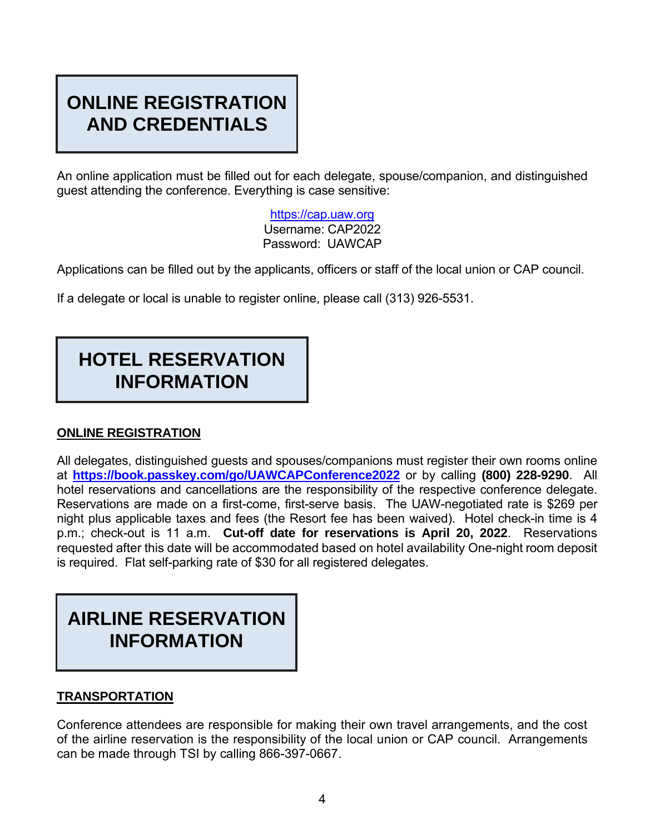#### **ONLINE REGISTRATION AND CREDENTIALS**

An online application must be filled out for each delegate, spouse/companion, and distinguished guest attending the conference. Everything is case sensitive:

> [https://cap.uaw.org](https://cap.uaw.org/) Username: CAP2022 Password: UAWCAP

Applications can be filled out by the applicants, officers or staff of the local union or CAP council.

If a delegate or local is unable to register online, please call (313) 926-5531.

#### **HOTEL RESERVATION INFORMATION**

#### **ONLINE REGISTRATION**

All delegates, distinguished guests and spouses/companions must register their own rooms online at **<https://book.passkey.com/go/UAWCAPConference2022>** or by calling **(800) 228-9290**. All hotel reservations and cancellations are the responsibility of the respective conference delegate. Reservations are made on a first-come, first-serve basis. The UAW-negotiated rate is \$269 per night plus applicable taxes and fees (the Resort fee has been waived). Hotel check-in time is 4 p.m.; check-out is 11 a.m. **Cut-off date for reservations is April 20, 2022**. Reservations requested after this date will be accommodated based on hotel availability One-night room deposit is required. Flat self-parking rate of \$30 for all registered delegates.

### **AIRLINE RESERVATION INFORMATION**

#### **TRANSPORTATION**

Conference attendees are responsible for making their own travel arrangements, and the cost of the airline reservation is the responsibility of the local union or CAP council. Arrangements can be made through TSI by calling 866-397-0667.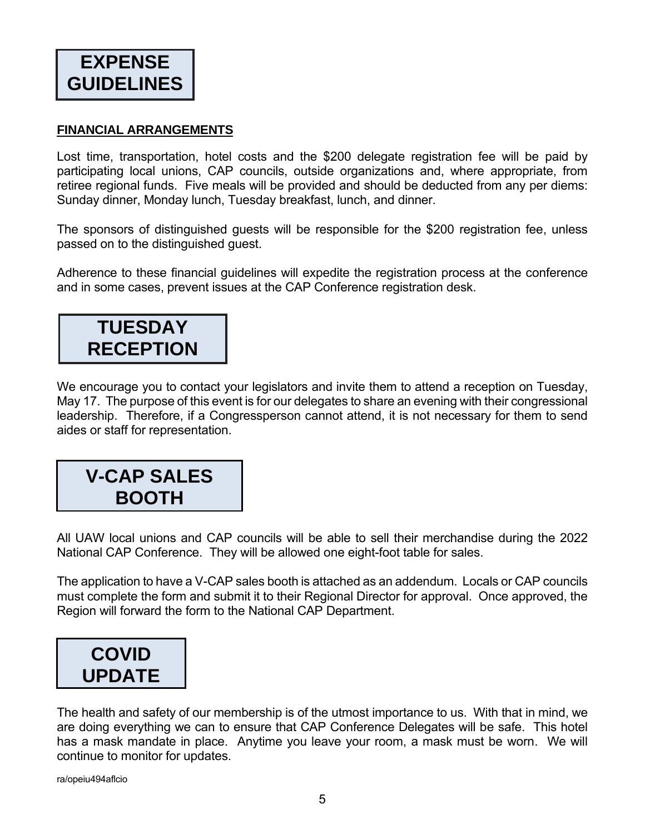#### **FINANCIAL ARRANGEMENTS**

Lost time, transportation, hotel costs and the \$200 delegate registration fee will be paid by participating local unions, CAP councils, outside organizations and, where appropriate, from retiree regional funds. Five meals will be provided and should be deducted from any per diems: Sunday dinner, Monday lunch, Tuesday breakfast, lunch, and dinner.

The sponsors of distinguished guests will be responsible for the \$200 registration fee, unless passed on to the distinguished guest.

Adherence to these financial guidelines will expedite the registration process at the conference and in some cases, prevent issues at the CAP Conference registration desk.

### **TUESDAY RECEPTION**

We encourage you to contact your legislators and invite them to attend a reception on Tuesday, May 17. The purpose of this event is for our delegates to share an evening with their congressional leadership. Therefore, if a Congressperson cannot attend, it is not necessary for them to send aides or staff for representation.

### **V-CAP SALES BOOTH**

All UAW local unions and CAP councils will be able to sell their merchandise during the 2022 National CAP Conference. They will be allowed one eight-foot table for sales.

The application to have a V-CAP sales booth is attached as an addendum. Locals or CAP councils must complete the form and submit it to their Regional Director for approval. Once approved, the Region will forward the form to the National CAP Department.



The health and safety of our membership is of the utmost importance to us. With that in mind, we are doing everything we can to ensure that CAP Conference Delegates will be safe. This hotel has a mask mandate in place. Anytime you leave your room, a mask must be worn. We will continue to monitor for updates.

ra/opeiu494aflcio